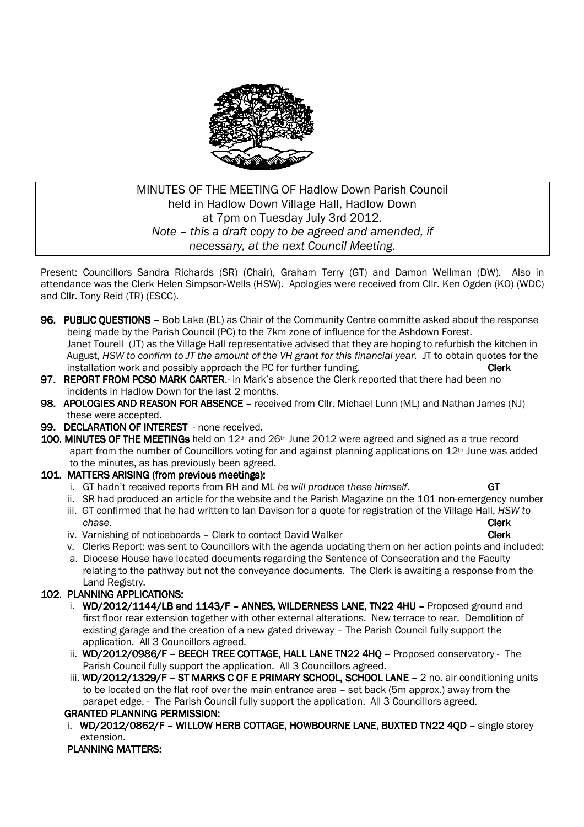

# MINUTES OF THE MEETING OF Hadlow Down Parish Council held in Hadlow Down Village Hall, Hadlow Down at 7pm on Tuesday July 3rd 2012. *Note – this a draft copy to be agreed and amended, if necessary, at the next Council Meeting.*

Present: Councillors Sandra Richards (SR) (Chair), Graham Terry (GT) and Damon Wellman (DW). Also in attendance was the Clerk Helen Simpson-Wells (HSW). Apologies were received from Cllr. Ken Ogden (KO) (WDC) and Cllr. Tony Reid (TR) (ESCC).

- 96. PUBLIC OUESTIONS Bob Lake (BL) as Chair of the Community Centre committe asked about the response being made by the Parish Council (PC) to the 7km zone of influence for the Ashdown Forest. Janet Tourell (JT) as the Village Hall representative advised that they are hoping to refurbish the kitchen in August, *HSW to confirm to JT the amount of the VH grant for this financial year.* JT to obtain quotes for the installation work and possibly approach the PC for further funding.
- 97. REPORT FROM PCSO MARK CARTER.- in Mark's absence the Clerk reported that there had been no incidents in Hadlow Down for the last 2 months.
- 98. APOLOGIES AND REASON FOR ABSENCE received from Cllr. Michael Lunn (ML) and Nathan James (NJ) these were accepted.
- 99. DECLARATION OF INTEREST none received.
- 100. MINUTES OF THE MEETINGs held on  $12<sup>th</sup>$  and  $26<sup>th</sup>$  June 2012 were agreed and signed as a true record apart from the number of Councillors voting for and against planning applications on 12<sup>th</sup> June was added to the minutes, as has previously been agreed.

### 101. MATTERS ARISING (from previous meetings):

- i. GT hadn't received reports from RH and ML *he will produce these himself*. GT
- ii. SR had produced an article for the website and the Parish Magazine on the 101 non-emergency number
- iii. GT confirmed that he had written to Ian Davison for a quote for registration of the Village Hall, *HSW to chase.* Clerk
	- iv. Varnishing of noticeboards Clerk to contact David Walker Contact Clerk
	- v. Clerks Report: was sent to Councillors with the agenda updating them on her action points and included:
	- a. Diocese House have located documents regarding the Sentence of Consecration and the Faculty relating to the pathway but not the conveyance documents. The Clerk is awaiting a response from the Land Registry.

## 102. PLANNING APPLICATIONS:

- i.  $WD/2012/1144/LB$  and  $1143/F$  ANNES, WILDERNESS LANE, TN22 4HU Proposed ground and first floor rear extension together with other external alterations. New terrace to rear. Demolition of existing garage and the creation of a new gated driveway – The Parish Council fully support the application. All 3 Councillors agreed.
- ii. WD/2012/0986/F BEECH TREE COTTAGE, HALL LANE TN22 4HO Proposed conservatory The Parish Council fully support the application. All 3 Councillors agreed.
- iii. WD/2012/1329/F ST MARKS C OF E PRIMARY SCHOOL, SCHOOL LANE 2 no. air conditioning units to be located on the flat roof over the main entrance area – set back (5m approx.) away from the parapet edge. - The Parish Council fully support the application. All 3 Councillors agreed.

## GRANTED PLANNING PERMISSION: GRANTED

i. WD/2012/0862/F - WILLOW HERB COTTAGE, HOWBOURNE LANE, BUXTED TN22 40D - single storey extension.

#### PLANNING MATTERS: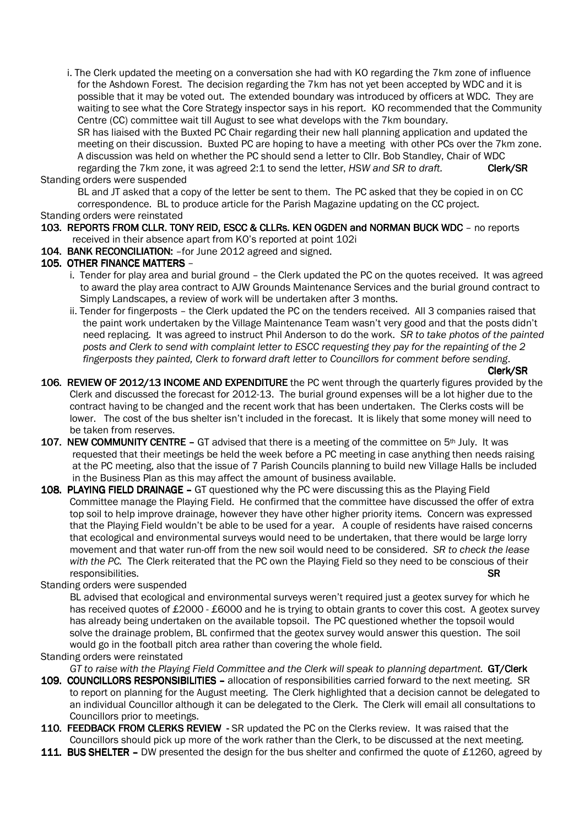i. The Clerk updated the meeting on a conversation she had with KO regarding the 7km zone of influence for the Ashdown Forest. The decision regarding the 7km has not yet been accepted by WDC and it is possible that it may be voted out. The extended boundary was introduced by officers at WDC. They are waiting to see what the Core Strategy inspector says in his report. KO recommended that the Community Centre (CC) committee wait till August to see what develops with the 7km boundary. SR has liaised with the Buxted PC Chair regarding their new hall planning application and updated the meeting on their discussion. Buxted PC are hoping to have a meeting with other PCs over the 7km zone. A discussion was held on whether the PC should send a letter to Cllr. Bob Standley, Chair of WDC regarding the 7km zone, it was agreed 2:1 to send the letter, *HSW and SR to draft.* Clerk/SR

#### Standing orders were suspended

 BL and JT asked that a copy of the letter be sent to them. The PC asked that they be copied in on CC correspondence. BL to produce article for the Parish Magazine updating on the CC project.

Standing orders were reinstated

- 103. REPORTS FROM CLLR. TONY REID, ESCC & CLLRS. KEN OGDEN and NORMAN BUCK WDC no reports received in their absence apart from KO's reported at point 102i
- 104. BANK RECONCILIATION: for June 2012 agreed and signed.

### 105. OTHER FINANCE MATTERS -

- i. Tender for play area and burial ground the Clerk updated the PC on the quotes received. It was agreed to award the play area contract to AJW Grounds Maintenance Services and the burial ground contract to Simply Landscapes, a review of work will be undertaken after 3 months.
- ii. Tender for fingerposts the Clerk updated the PC on the tenders received. All 3 companies raised that the paint work undertaken by the Village Maintenance Team wasn't very good and that the posts didn't need replacing. It was agreed to instruct Phil Anderson to do the work. *SR to take photos of the painted posts and Clerk to send with complaint letter to ESCC requesting they pay for the repainting of the 2 fingerposts they painted, Clerk to forward draft letter to Councillors for comment before sending*.

 $Clerk/SR$ 

- 106. REVIEW OF 2012/13 INCOME AND EXPENDITURE the PC went through the quarterly figures provided by the Clerk and discussed the forecast for 2012-13. The burial ground expenses will be a lot higher due to the contract having to be changed and the recent work that has been undertaken. The Clerks costs will be lower. The cost of the bus shelter isn't included in the forecast. It is likely that some money will need to be taken from reserves.
- 107. NEW COMMUNITY CENTRE GT advised that there is a meeting of the committee on  $5<sup>th</sup>$  July. It was requested that their meetings be held the week before a PC meeting in case anything then needs raising at the PC meeting, also that the issue of 7 Parish Councils planning to build new Village Halls be included in the Business Plan as this may affect the amount of business available.
- 108. PLAYING FIELD DRAINAGE GT questioned why the PC were discussing this as the Playing Field Committee manage the Playing Field. He confirmed that the committee have discussed the offer of extra top soil to help improve drainage, however they have other higher priority items. Concern was expressed that the Playing Field wouldn't be able to be used for a year. A couple of residents have raised concerns that ecological and environmental surveys would need to be undertaken, that there would be large lorry movement and that water run-off from the new soil would need to be considered. *SR to check the lease with the PC.* The Clerk reiterated that the PC own the Playing Field so they need to be conscious of their responsibilities. SR

#### Standing orders were suspended

BL advised that ecological and environmental surveys weren't required just a geotex survey for which he has received quotes of £2000 - £6000 and he is trying to obtain grants to cover this cost. A geotex survey has already being undertaken on the available topsoil. The PC questioned whether the topsoil would solve the drainage problem, BL confirmed that the geotex survey would answer this question. The soil would go in the football pitch area rather than covering the whole field.

Standing orders were reinstated

*GT* to raise with the Playing Field Committee and the Clerk will speak to planning department. **GT/Clerk** 

- 109. COUNCILLORS RESPONSIBILITIES allocation of responsibilities carried forward to the next meeting. SR to report on planning for the August meeting. The Clerk highlighted that a decision cannot be delegated to an individual Councillor although it can be delegated to the Clerk. The Clerk will email all consultations to Councillors prior to meetings.
- 110. FEEDBACK FROM CLERKS REVIEW SR updated the PC on the Clerks review. It was raised that the Councillors should pick up more of the work rather than the Clerk, to be discussed at the next meeting.
- 111. BUS SHELTER DW presented the design for the bus shelter and confirmed the quote of £1260, agreed by